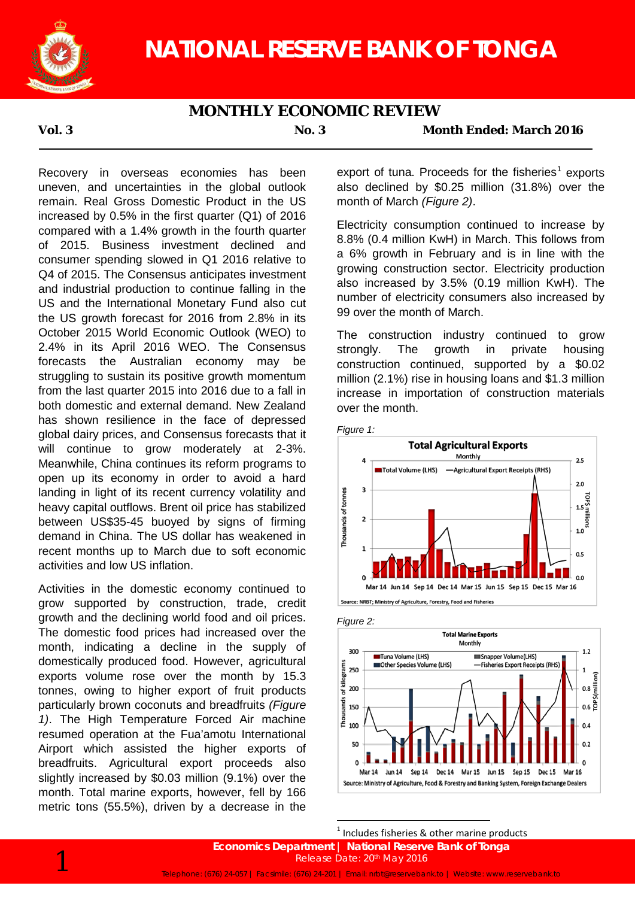

## **MONTHLY ECONOMIC REVIEW**

**Vol. 3 No. 3 Month Ended: March 2016**

Recovery in overseas economies has been uneven, and uncertainties in the global outlook remain. Real Gross Domestic Product in the US increased by 0.5% in the first quarter (Q1) of 2016 compared with a 1.4% growth in the fourth quarter of 2015. Business investment declined and consumer spending slowed in Q1 2016 relative to Q4 of 2015. The Consensus anticipates investment and industrial production to continue falling in the US and the International Monetary Fund also cut the US growth forecast for 2016 from 2.8% in its October 2015 World Economic Outlook (WEO) to 2.4% in its April 2016 WEO. The Consensus forecasts the Australian economy may be struggling to sustain its positive growth momentum from the last quarter 2015 into 2016 due to a fall in both domestic and external demand. New Zealand has shown resilience in the face of depressed global dairy prices, and Consensus forecasts that it will continue to grow moderately at 2-3%. Meanwhile, China continues its reform programs to open up its economy in order to avoid a hard landing in light of its recent currency volatility and heavy capital outflows. Brent oil price has stabilized between US\$35-45 buoyed by signs of firming demand in China. The US dollar has weakened in recent months up to March due to soft economic activities and low US inflation.

Activities in the domestic economy continued to grow supported by construction, trade, credit growth and the declining world food and oil prices. The domestic food prices had increased over the month, indicating a decline in the supply of domestically produced food. However, agricultural exports volume rose over the month by 15.3 tonnes, owing to higher export of fruit products particularly brown coconuts and breadfruits *(Figure 1)*. The High Temperature Forced Air machine resumed operation at the Fua'amotu International Airport which assisted the higher exports of breadfruits. Agricultural export proceeds also slightly increased by \$0.03 million (9.1%) over the month. Total marine exports, however, fell by 166 metric tons (55.5%), driven by a decrease in the

export of tuna. Proceeds for the fisheries<sup>1</sup> exports also declined by \$0.25 million (31.8%) over the month of March *(Figure 2)*.

Electricity consumption continued to increase by 8.8% (0.4 million KwH) in March. This follows from a 6% growth in February and is in line with the growing construction sector. Electricity production also increased by 3.5% (0.19 million KwH). The number of electricity consumers also increased by 99 over the month of March.

The construction industry continued to grow strongly. The growth in private housing construction continued, supported by a \$0.02 million (2.1%) rise in housing loans and \$1.3 million increase in importation of construction materials over the month.







 $<sup>1</sup>$  Includes fisheries & other marine products</sup>

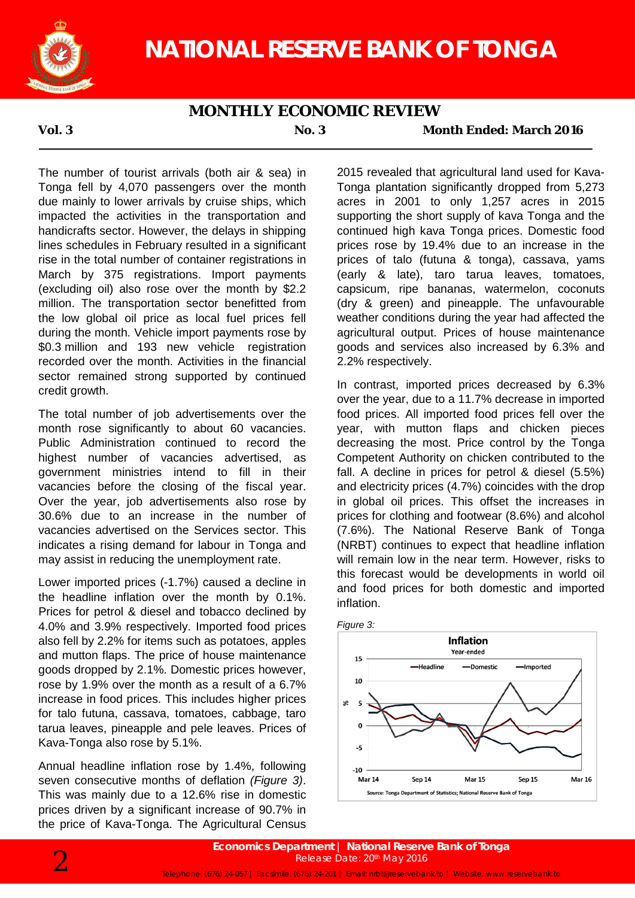

## **MONTHLY ECONOMIC REVIEW**

**Vol. 3 No. 3 Month Ended: March 2016**

The number of tourist arrivals (both air & sea) in Tonga fell by 4,070 passengers over the month due mainly to lower arrivals by cruise ships, which impacted the activities in the transportation and handicrafts sector. However, the delays in shipping lines schedules in February resulted in a significant rise in the total number of container registrations in March by 375 registrations. Import payments (excluding oil) also rose over the month by \$2.2 million. The transportation sector benefitted from the low global oil price as local fuel prices fell during the month. Vehicle import payments rose by \$0.3 million and 193 new vehicle registration recorded over the month. Activities in the financial sector remained strong supported by continued credit growth.

The total number of job advertisements over the month rose significantly to about 60 vacancies. Public Administration continued to record the highest number of vacancies advertised, as government ministries intend to fill in their vacancies before the closing of the fiscal year. Over the year, job advertisements also rose by 30.6% due to an increase in the number of vacancies advertised on the Services sector. This indicates a rising demand for labour in Tonga and may assist in reducing the unemployment rate.

Lower imported prices (-1.7%) caused a decline in the headline inflation over the month by 0.1%. Prices for petrol & diesel and tobacco declined by 4.0% and 3.9% respectively. Imported food prices also fell by 2.2% for items such as potatoes, apples and mutton flaps. The price of house maintenance goods dropped by 2.1%. Domestic prices however, rose by 1.9% over the month as a result of a 6.7% increase in food prices. This includes higher prices for talo futuna, cassava, tomatoes, cabbage, taro tarua leaves, pineapple and pele leaves. Prices of Kava-Tonga also rose by 5.1%.

Annual headline inflation rose by 1.4%, following seven consecutive months of deflation *(Figure 3)*. This was mainly due to a 12.6% rise in domestic prices driven by a significant increase of 90.7% in the price of Kava-Tonga. The Agricultural Census

2015 revealed that agricultural land used for Kava-Tonga plantation significantly dropped from 5,273 acres in 2001 to only 1,257 acres in 2015 supporting the short supply of kava Tonga and the continued high kava Tonga prices. Domestic food prices rose by 19.4% due to an increase in the prices of talo (futuna & tonga), cassava, yams (early & late), taro tarua leaves, tomatoes, capsicum, ripe bananas, watermelon, coconuts (dry & green) and pineapple. The unfavourable weather conditions during the year had affected the agricultural output. Prices of house maintenance goods and services also increased by 6.3% and 2.2% respectively.

In contrast, imported prices decreased by 6.3% over the year, due to a 11.7% decrease in imported food prices. All imported food prices fell over the year, with mutton flaps and chicken pieces decreasing the most. Price control by the Tonga Competent Authority on chicken contributed to the fall. A decline in prices for petrol & diesel (5.5%) and electricity prices (4.7%) coincides with the drop in global oil prices. This offset the increases in prices for clothing and footwear (8.6%) and alcohol (7.6%). The National Reserve Bank of Tonga (NRBT) continues to expect that headline inflation will remain low in the near term. However, risks to this forecast would be developments in world oil and food prices for both domestic and imported inflation.



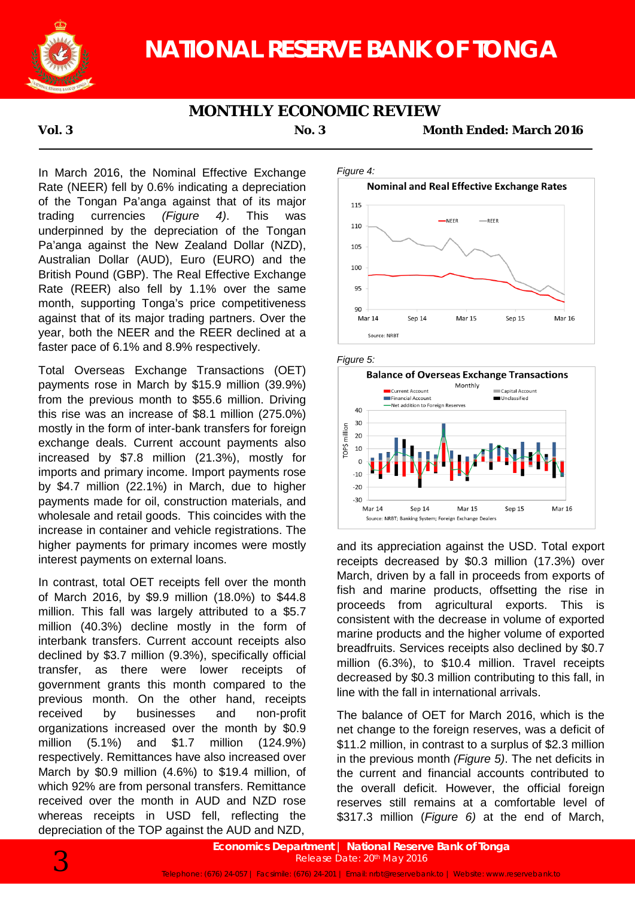

# **NATIONAL RESERVE BANK OF TONGA**

## **MONTHLY ECONOMIC REVIEW**

**Vol. 3 No. 3 Month Ended: March 2016**

In March 2016, the Nominal Effective Exchange Rate (NEER) fell by 0.6% indicating a depreciation of the Tongan Pa'anga against that of its major trading currencies *(Figure 4)*. This was underpinned by the depreciation of the Tongan Pa'anga against the New Zealand Dollar (NZD), Australian Dollar (AUD), Euro (EURO) and the British Pound (GBP). The Real Effective Exchange Rate (REER) also fell by 1.1% over the same month, supporting Tonga's price competitiveness against that of its major trading partners. Over the year, both the NEER and the REER declined at a faster pace of 6.1% and 8.9% respectively.

Total Overseas Exchange Transactions (OET) payments rose in March by \$15.9 million (39.9%) from the previous month to \$55.6 million. Driving this rise was an increase of \$8.1 million (275.0%) mostly in the form of inter-bank transfers for foreign exchange deals. Current account payments also increased by \$7.8 million (21.3%), mostly for imports and primary income. Import payments rose by \$4.7 million (22.1%) in March, due to higher payments made for oil, construction materials, and wholesale and retail goods. This coincides with the increase in container and vehicle registrations. The higher payments for primary incomes were mostly interest payments on external loans.

In contrast, total OET receipts fell over the month of March 2016, by \$9.9 million (18.0%) to \$44.8 million. This fall was largely attributed to a \$5.7 million (40.3%) decline mostly in the form of interbank transfers. Current account receipts also declined by \$3.7 million (9.3%), specifically official transfer, as there were lower receipts of government grants this month compared to the previous month. On the other hand, receipts received by businesses and non-profit organizations increased over the month by \$0.9 million (5.1%) and \$1.7 million (124.9%) respectively. Remittances have also increased over March by \$0.9 million (4.6%) to \$19.4 million, of which 92% are from personal transfers. Remittance received over the month in AUD and NZD rose whereas receipts in USD fell, reflecting the depreciation of the TOP against the AUD and NZD,







and its appreciation against the USD. Total export receipts decreased by \$0.3 million (17.3%) over March, driven by a fall in proceeds from exports of fish and marine products, offsetting the rise in proceeds from agricultural exports. This is consistent with the decrease in volume of exported marine products and the higher volume of exported breadfruits. Services receipts also declined by \$0.7 million (6.3%), to \$10.4 million. Travel receipts decreased by \$0.3 million contributing to this fall, in line with the fall in international arrivals.

The balance of OET for March 2016, which is the net change to the foreign reserves, was a deficit of \$11.2 million, in contrast to a surplus of \$2.3 million in the previous month *(Figure 5)*. The net deficits in the current and financial accounts contributed to the overall deficit. However, the official foreign reserves still remains at a comfortable level of \$317.3 million (*Figure 6)* at the end of March,

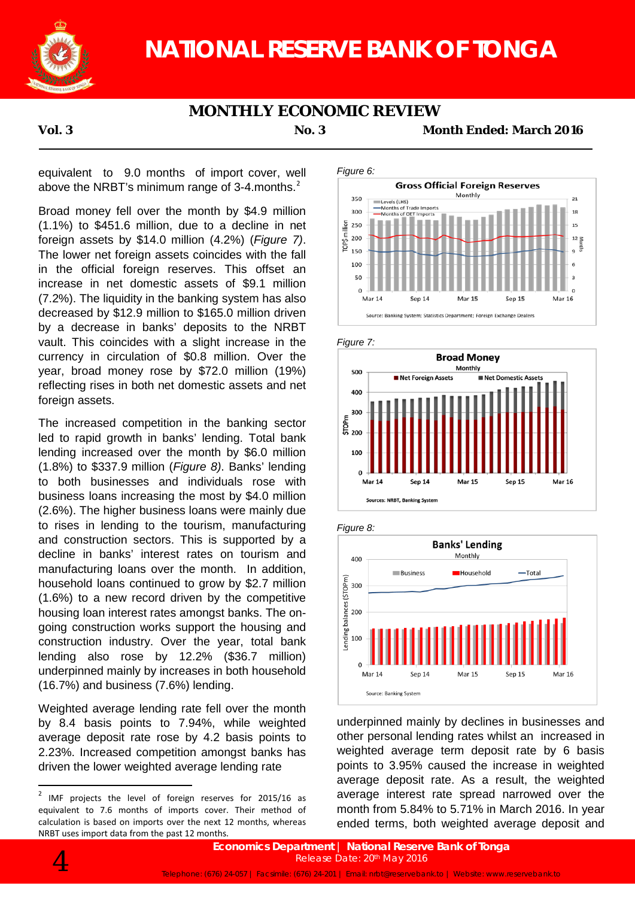

# **NATIONAL RESERVE BANK OF TONGA**

## **MONTHLY ECONOMIC REVIEW**

**Vol. 3 No. 3 Month Ended: March 2016**

equivalent to 9.0 months of import cover, well above the NRBT's minimum range of 3-4 months.<sup>2</sup>

Broad money fell over the month by \$4.9 million (1.1%) to \$451.6 million, due to a decline in net foreign assets by \$14.0 million (4.2%) (*Figure 7)*. The lower net foreign assets coincides with the fall in the official foreign reserves. This offset an increase in net domestic assets of \$9.1 million (7.2%). The liquidity in the banking system has also decreased by \$12.9 million to \$165.0 million driven by a decrease in banks' deposits to the NRBT vault. This coincides with a slight increase in the currency in circulation of \$0.8 million. Over the year, broad money rose by \$72.0 million (19%) reflecting rises in both net domestic assets and net foreign assets.

The increased competition in the banking sector led to rapid growth in banks' lending. Total bank lending increased over the month by \$6.0 million (1.8%) to \$337.9 million (*Figure 8)*. Banks' lending to both businesses and individuals rose with business loans increasing the most by \$4.0 million (2.6%). The higher business loans were mainly due to rises in lending to the tourism, manufacturing and construction sectors. This is supported by a decline in banks' interest rates on tourism and manufacturing loans over the month. In addition, household loans continued to grow by \$2.7 million (1.6%) to a new record driven by the competitive housing loan interest rates amongst banks. The ongoing construction works support the housing and construction industry. Over the year, total bank lending also rose by 12.2% (\$36.7 million) underpinned mainly by increases in both household (16.7%) and business (7.6%) lending.

Weighted average lending rate fell over the month by 8.4 basis points to 7.94%, while weighted average deposit rate rose by 4.2 basis points to 2.23%. Increased competition amongst banks has driven the lower weighted average lending rate











underpinned mainly by declines in businesses and other personal lending rates whilst an increased in weighted average term deposit rate by 6 basis points to 3.95% caused the increase in weighted average deposit rate. As a result, the weighted average interest rate spread narrowed over the month from 5.84% to 5.71% in March 2016. In year ended terms, both weighted average deposit and



 $2$  IMF projects the level of foreign reserves for 2015/16 as equivalent to 7.6 months of imports cover. Their method of calculation is based on imports over the next 12 months, whereas NRBT uses import data from the past 12 months.